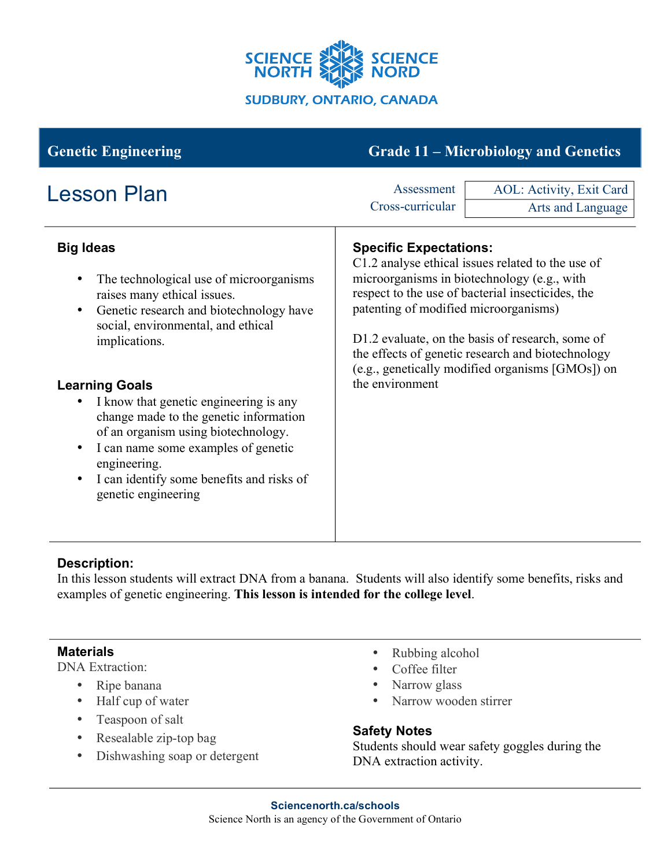

| <b>Genetic Engineering</b>                                                                                                                                                                                                                                                                                         | <b>Grade 11 – Microbiology and Genetics</b>                                                                                                                                                                                                                                                                                                                                                  |
|--------------------------------------------------------------------------------------------------------------------------------------------------------------------------------------------------------------------------------------------------------------------------------------------------------------------|----------------------------------------------------------------------------------------------------------------------------------------------------------------------------------------------------------------------------------------------------------------------------------------------------------------------------------------------------------------------------------------------|
| <b>Lesson Plan</b>                                                                                                                                                                                                                                                                                                 | Assessment<br><b>AOL: Activity, Exit Card</b><br>Cross-curricular<br>Arts and Language                                                                                                                                                                                                                                                                                                       |
| <b>Big Ideas</b><br>The technological use of microorganisms<br>$\bullet$<br>raises many ethical issues.<br>Genetic research and biotechnology have<br>$\bullet$<br>social, environmental, and ethical<br>implications.                                                                                             | <b>Specific Expectations:</b><br>C1.2 analyse ethical issues related to the use of<br>microorganisms in biotechnology (e.g., with<br>respect to the use of bacterial insecticides, the<br>patenting of modified microorganisms)<br>D1.2 evaluate, on the basis of research, some of<br>the effects of genetic research and biotechnology<br>(e.g., genetically modified organisms [GMOs]) on |
| <b>Learning Goals</b><br>I know that genetic engineering is any<br>$\bullet$<br>change made to the genetic information<br>of an organism using biotechnology.<br>I can name some examples of genetic<br>$\bullet$<br>engineering.<br>I can identify some benefits and risks of<br>$\bullet$<br>genetic engineering | the environment                                                                                                                                                                                                                                                                                                                                                                              |

### **Description:**

In this lesson students will extract DNA from a banana. Students will also identify some benefits, risks and examples of genetic engineering. **This lesson is intended for the college level**.

# **Materials**

DNA Extraction:

- Ripe banana
- Half cup of water
- Teaspoon of salt
- Resealable zip-top bag
- Dishwashing soap or detergent
- Rubbing alcohol
- Coffee filter
- Narrow glass
- Narrow wooden stirrer

# **Safety Notes**

Students should wear safety goggles during the DNA extraction activity.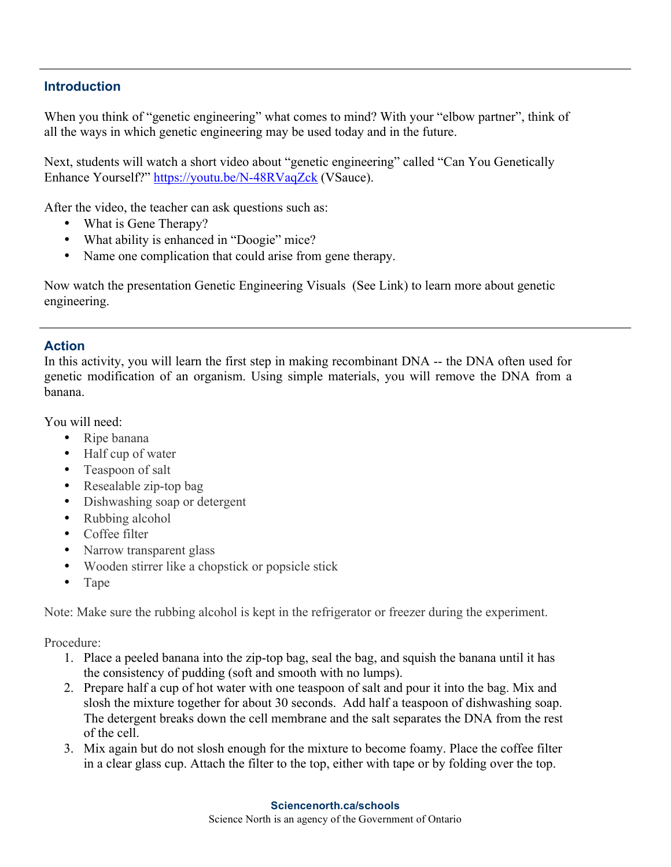# **Introduction**

When you think of "genetic engineering" what comes to mind? With your "elbow partner", think of all the ways in which genetic engineering may be used today and in the future.

Next, students will watch a short video about "genetic engineering" called "Can You Genetically Enhance Yourself?" https://youtu.be/N-48RVaqZck (VSauce).

After the video, the teacher can ask questions such as:

- What is Gene Therapy?
- What ability is enhanced in "Doogie" mice?
- Name one complication that could arise from gene therapy.

Now watch the presentation Genetic Engineering Visuals (See Link) to learn more about genetic engineering.

### **Action**

In this activity, you will learn the first step in making recombinant DNA -- the DNA often used for genetic modification of an organism. Using simple materials, you will remove the DNA from a banana.

You will need:

- Ripe banana
- Half cup of water
- Teaspoon of salt
- Resealable zip-top bag
- Dishwashing soap or detergent
- Rubbing alcohol
- Coffee filter
- Narrow transparent glass
- Wooden stirrer like a chopstick or popsicle stick
- Tape

Note: Make sure the rubbing alcohol is kept in the refrigerator or freezer during the experiment.

Procedure:

- 1. Place a peeled banana into the zip-top bag, seal the bag, and squish the banana until it has the consistency of pudding (soft and smooth with no lumps).
- 2. Prepare half a cup of hot water with one teaspoon of salt and pour it into the bag. Mix and slosh the mixture together for about 30 seconds. Add half a teaspoon of dishwashing soap. The detergent breaks down the cell membrane and the salt separates the DNA from the rest of the cell.
- 3. Mix again but do not slosh enough for the mixture to become foamy. Place the coffee filter in a clear glass cup. Attach the filter to the top, either with tape or by folding over the top.